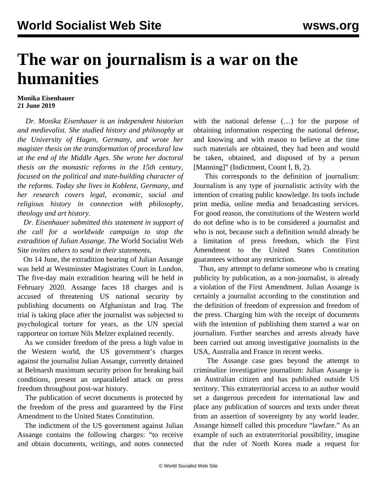## **The war on journalism is a war on the humanities**

## **Monika Eisenhauer 21 June 2019**

 *Dr. Monika Eisenhauer is an independent historian and medievalist. She studied history and philosophy at the University of Hagen, Germany, and wrote her magister thesis on the transformation of procedural law at the end of the Middle Ages. She wrote her doctoral thesis on the monastic reforms in the 15th century, focused on the political and state-building character of the reforms. Today she lives in Koblenz, Germany, and her research covers legal, economic, social and religious history in connection with philosophy, theology and art history.*

 *Dr. Eisenhauer submitted this statement in support of the call for a worldwide campaign to stop the extradition of Julian Assange. The* World Socialist Web Site *invites others to send in their statements.*

 On 14 June, the extradition hearing of Julian Assange was held at Westminster Magistrates Court in London. The five-day main extradition hearing will be held in February 2020. Assange faces 18 charges and is accused of threatening US national security by publishing documents on Afghanistan and Iraq. The trial is taking place after the journalist was subjected to psychological torture for years, as the UN special rapporteur on torture Nils Melzer explained recently.

 As we consider freedom of the press a high value in the Western world, the US government's charges against the journalist Julian Assange, currently detained at Belmarsh maximum security prison for breaking bail conditions, present an unparalleled attack on press freedom throughout post-war history.

 The publication of secret documents is protected by the freedom of the press and guaranteed by the First Amendment to the United States Constitution.

 The indictment of the US government against Julian Assange contains the following charges: "to receive and obtain documents, writings, and notes connected with the national defense (…) for the purpose of obtaining information respecting the national defense, and knowing and with reason to believe at the time such materials are obtained, they had been and would be taken, obtained, and disposed of by a person [Manning]" (Indictment, Count I, B, 2).

 This corresponds to the definition of journalism: Journalism is any type of journalistic activity with the intention of creating public knowledge. Its tools include print media, online media and broadcasting services. For good reason, the constitutions of the Western world do not define who is to be considered a journalist and who is not, because such a definition would already be a limitation of press freedom, which the First Amendment to the United States Constitution guarantees without any restriction.

 Thus, any attempt to defame someone who is creating publicity by publication, as a non-journalist, is already a violation of the First Amendment. Julian Assange is certainly a journalist according to the constitution and the definition of freedom of expression and freedom of the press. Charging him with the receipt of documents with the intention of publishing them started a war on journalism. Further searches and arrests already have been carried out among investigative journalists in the USA, Australia and France in recent weeks.

 The Assange case goes beyond the attempt to criminalize investigative journalism: Julian Assange is an Australian citizen and has published outside US territory. This extraterritorial access to an author would set a dangerous precedent for international law and place any publication of sources and texts under threat from an assertion of sovereignty by any world leader. Assange himself called this procedure "lawfare." As an example of such an extraterritorial possibility, imagine that the ruler of North Korea made a request for